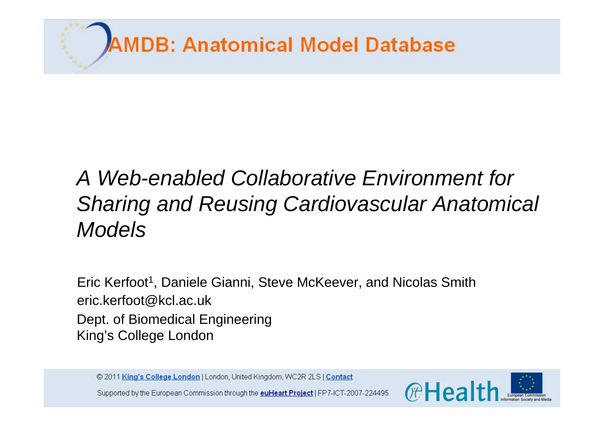

# *A Web-enabled Collaborative Environment for Sharing and Reusing Cardiovascular Anatomical Models*

Eric Kerfoot<sup>1</sup>, Daniele Gianni, Steve McKeever, and Nicolas Smith Dept. of Biomedical Engineering King's College London eric.kerfoot@kcl.ac.uk

© 2011 King's College London | London, United Kingdom, WC2R 2LS | Contact



Supported by the European Commission through the **euHeart Project** | FP7-ICT-2007-224495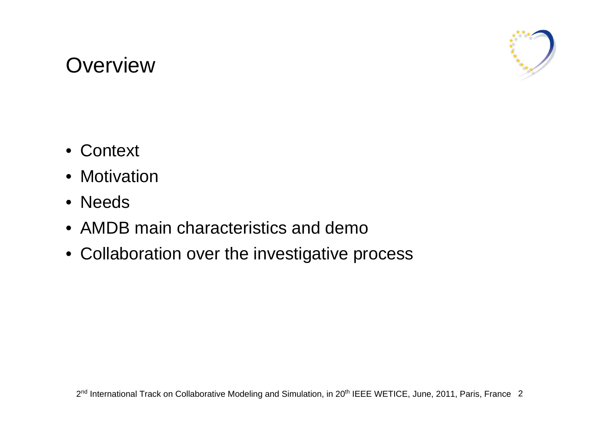#### **Overview**



- Context
- Motivation
- Needs
- AMDB main characteristics and demo
- Collaboration over the investigative process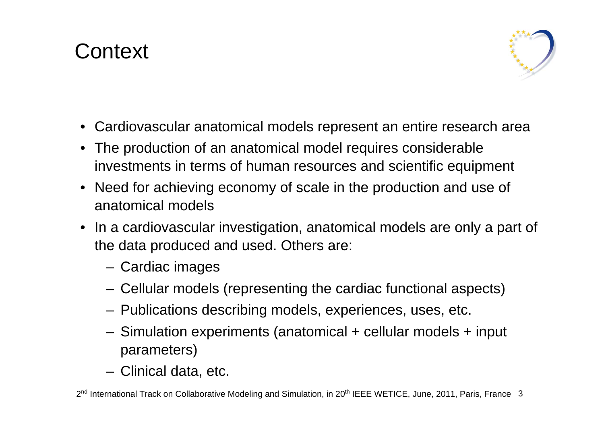## **Context**



- •Cardiovascular anatomical models represent an entire research area
- • The production of an anatomical model requires considerable investments in terms of human resources and scientifi<sup>c</sup> equipment
- • Need for achieving economy of scale in the production and use of anatomical models
- In a cardiovascular investigation, anatomical models are only a part of the data produced and used. Others are:
	- Cardiac images
	- Cellular models (representing the cardiac functional aspects)
	- Publications describing models, experiences, uses, etc.
	- Simulation experiments (anatomical + cellular models + input parameters)
	- Clinical data, etc.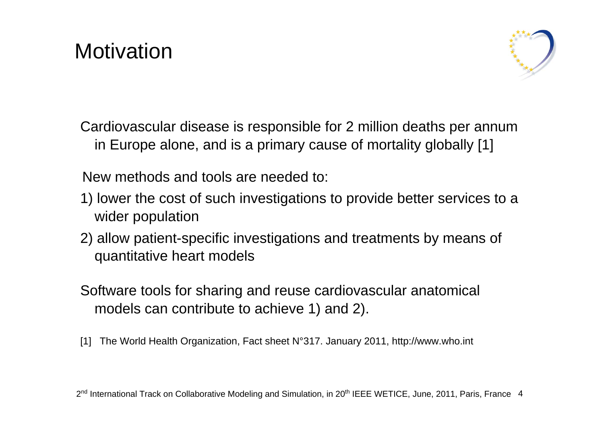## **Motivation**



Cardiovascular disease is responsible for 2 million deaths per annum in Europe alone, and is a primary cause of mortality globally [1]

New methods and tools are needed to:

- 1) lower the cost of such investigations to provide better services to a wider population
- 2) allow patient-specific investigations and treatments by means of quantitative heart models
- Software tools for sharing and reuse cardiovascular anatomical models can contribute to achieve 1) and 2).
- [1] The World Health Organization, Fact sheet N°317. January 2011, http://www.who.int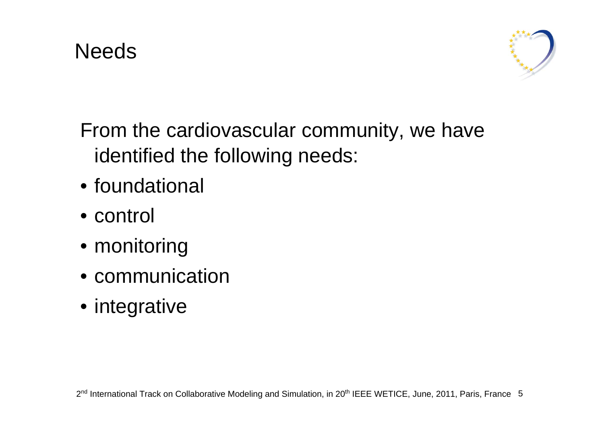



From the cardiovascular community, we have identified the following needs:

- foundational
- control
- monitoring
- communication
- integrative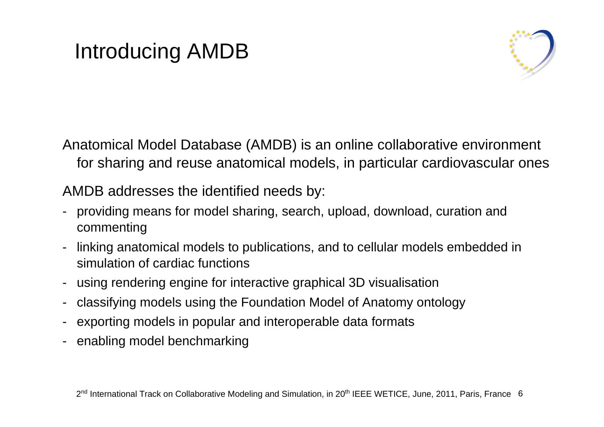# Introducing AMDB



Anatomical Model Database (AMDB) is an online collaborative environment for sharing and reuse anatomical models, in particular cardiovascular ones

AMDB addresses the identified needs by:

- providing means for model sharing, search, upload, download, curation and commenting
- linking anatomical models to publications, and to cellular models embedded in simulation of cardiac functions
- using rendering engine for interactive graphical 3D visualisation
- classifying models using the Foundation Model of Anatomy ontology
- exporting models in popular and interoperable data formats
- enabling model benchmarking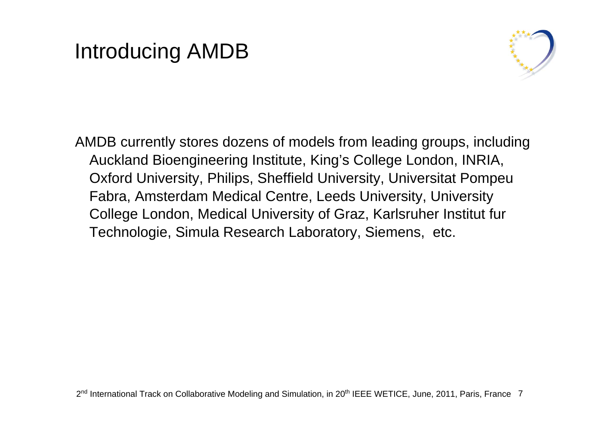## Introducing AMDB



AMDB currently stores dozens of models from leading groups, including Auckland Bioengineering Institute, King's College London, INRIA, Oxford University, Philips, Sheffield University, Universitat Pompeu Fabra, Amsterdam Medical Centre, Leeds University, University College London, Medical University of Graz, Karlsruher Institut fur Technologie, Simula Research Laboratory, Siemens, etc.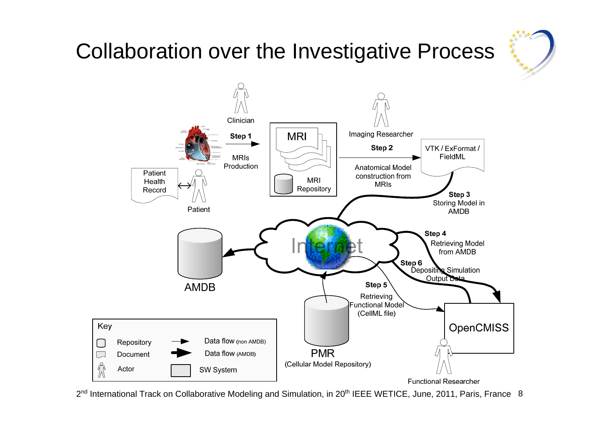

# Collaboration over the Investigative Process



2<sup>nd</sup> International Track on Collaborative Modeling and Simulation, in 20<sup>th</sup> IEEE WETICE, June, 2011, Paris, France 8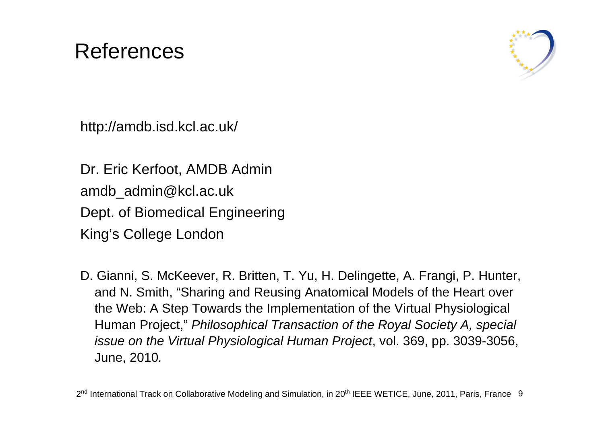#### References



http://amdb.isd.kcl.ac.uk/

Dr. Eric Kerfoot, AMDB Admin amdb\_admin@kcl.ac.uk Dept. of Biomedical Engineering King's College London

D. Gianni, S. McKeever, R. Britten, T. Yu, H. Delingette, A. Frangi, P. Hunter, and N. Smith, "Sharing and Reusing Anatomical Models of the Heart over the Web: A Step Towards the Implementation of the Virtual Physiological Human Project," *Philosophical Transaction of the Royal Society A, special issue on the Virtual Physiological Human Project*, vol. 369, pp. 3039-3056, June, 2010*.*